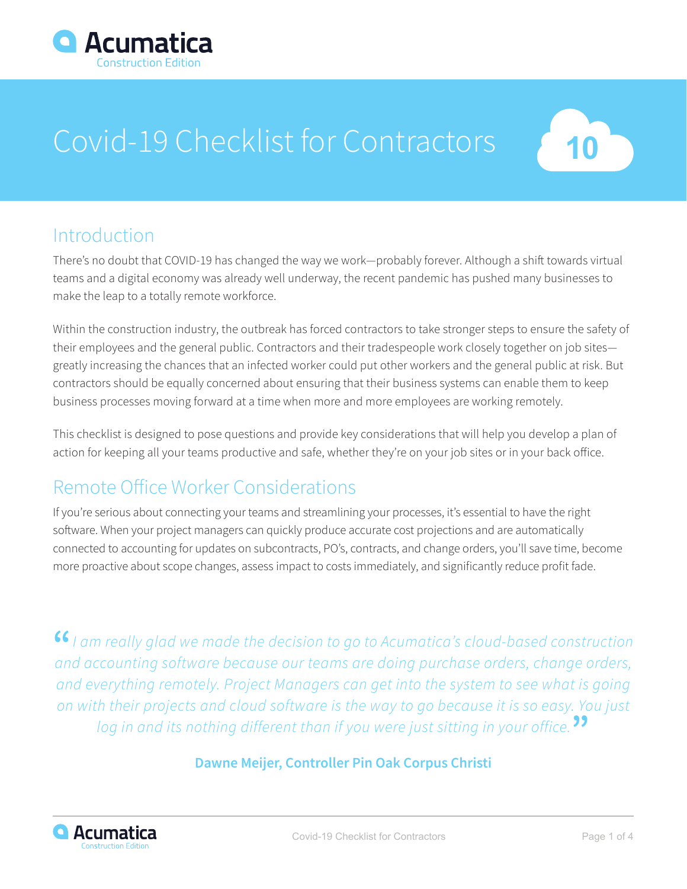

# Covid-19 Checklist for Contractors



## Introduction

There's no doubt that COVID-19 has changed the way we work—probably forever. Although a shift towards virtual teams and a digital economy was already well underway, the recent pandemic has pushed many businesses to make the leap to a totally remote workforce.

Within the construction industry, the outbreak has forced contractors to take stronger steps to ensure the safety of their employees and the general public. Contractors and their tradespeople work closely together on job sites greatly increasing the chances that an infected worker could put other workers and the general public at risk. But contractors should be equally concerned about ensuring that their business systems can enable them to keep business processes moving forward at a time when more and more employees are working remotely.

This checklist is designed to pose questions and provide key considerations that will help you develop a plan of action for keeping all your teams productive and safe, whether they're on your job sites or in your back office.

# Remote Office Worker Considerations

If you're serious about connecting your teams and streamlining your processes, it's essential to have the right software. When your project managers can quickly produce accurate cost projections and are automatically connected to accounting for updates on subcontracts, PO's, contracts, and change orders, you'll save time, become more proactive about scope changes, assess impact to costs immediately, and significantly reduce profit fade.

**"***I am really glad we made the decision to go to Acumatica's cloud-based construction and accounting software because our teams are doing purchase orders, change orders, and everything remotely. Project Managers can get into the system to see what is going on with their projects and cloud software is the way to go because it is so easy. You just log in and its nothing different than if you were just sitting in your office.***"**

#### **Dawne Meijer, Controller Pin Oak Corpus Christi**

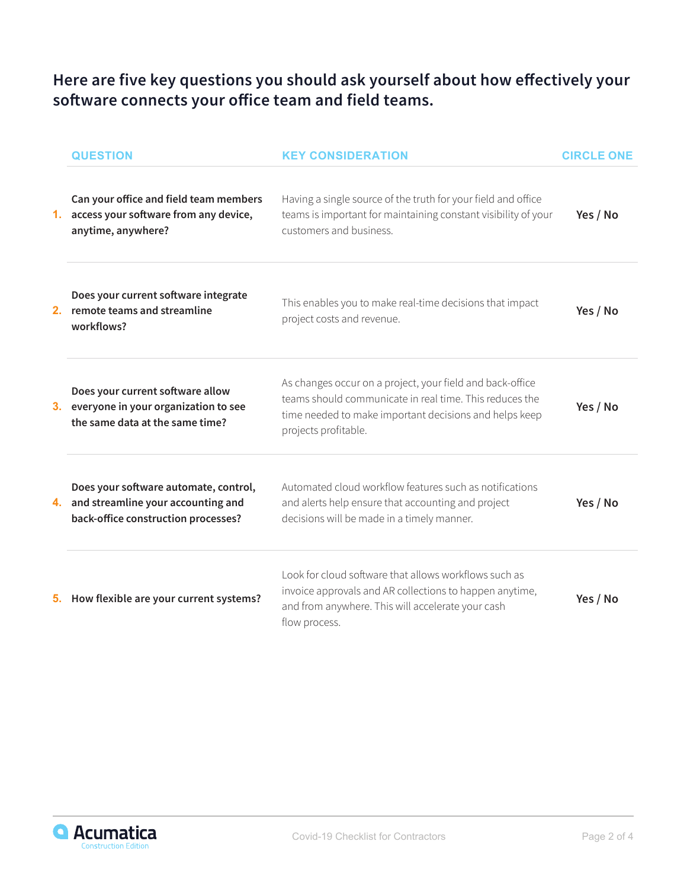#### **Here are five key questions you should ask yourself about how effectively your software connects your office team and field teams.**

|    | <b>QUESTION</b>                                                                                                       | <b>KEY CONSIDERATION</b>                                                                                                                                                                               | <b>CIRCLE ONE</b> |
|----|-----------------------------------------------------------------------------------------------------------------------|--------------------------------------------------------------------------------------------------------------------------------------------------------------------------------------------------------|-------------------|
| 1. | Can your office and field team members<br>access your software from any device,<br>anytime, anywhere?                 | Having a single source of the truth for your field and office<br>teams is important for maintaining constant visibility of your<br>customers and business.                                             | Yes / No          |
|    | Does your current software integrate<br>2. remote teams and streamline<br>workflows?                                  | This enables you to make real-time decisions that impact<br>project costs and revenue.                                                                                                                 | Yes / No          |
|    | Does your current software allow<br>everyone in your organization to see<br>the same data at the same time?           | As changes occur on a project, your field and back-office<br>teams should communicate in real time. This reduces the<br>time needed to make important decisions and helps keep<br>projects profitable. | Yes / No          |
|    | Does your software automate, control,<br>4. and streamline your accounting and<br>back-office construction processes? | Automated cloud workflow features such as notifications<br>and alerts help ensure that accounting and project<br>decisions will be made in a timely manner.                                            | Yes / No          |
|    | 5. How flexible are your current systems?                                                                             | Look for cloud software that allows workflows such as<br>invoice approvals and AR collections to happen anytime,<br>and from anywhere. This will accelerate your cash<br>flow process.                 | Yes / No          |

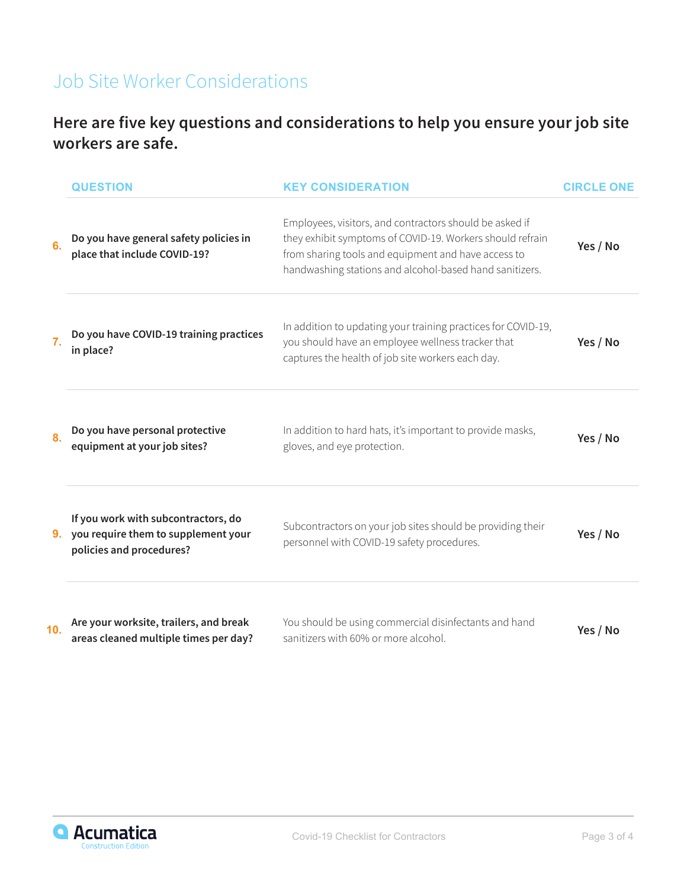# Job Site Worker Considerations

#### **Here are five key questions and considerations to help you ensure your job site workers are safe.**

|     | <b>QUESTION</b>                                                                                           | <b>KEY CONSIDERATION</b>                                                                                                                                                                                                               | <b>CIRCLE ONE</b> |
|-----|-----------------------------------------------------------------------------------------------------------|----------------------------------------------------------------------------------------------------------------------------------------------------------------------------------------------------------------------------------------|-------------------|
| 6.  | Do you have general safety policies in<br>place that include COVID-19?                                    | Employees, visitors, and contractors should be asked if<br>they exhibit symptoms of COVID-19. Workers should refrain<br>from sharing tools and equipment and have access to<br>handwashing stations and alcohol-based hand sanitizers. | Yes / No          |
| 7.  | Do you have COVID-19 training practices<br>in place?                                                      | In addition to updating your training practices for COVID-19,<br>you should have an employee wellness tracker that<br>captures the health of job site workers each day.                                                                | Yes / No          |
| 8.  | Do you have personal protective<br>equipment at your job sites?                                           | In addition to hard hats, it's important to provide masks,<br>gloves, and eye protection.                                                                                                                                              | Yes / No          |
|     | If you work with subcontractors, do<br>9. you require them to supplement your<br>policies and procedures? | Subcontractors on your job sites should be providing their<br>personnel with COVID-19 safety procedures.                                                                                                                               | Yes / No          |
| 10. | Are your worksite, trailers, and break<br>areas cleaned multiple times per day?                           | You should be using commercial disinfectants and hand<br>sanitizers with 60% or more alcohol.                                                                                                                                          | Yes / No          |